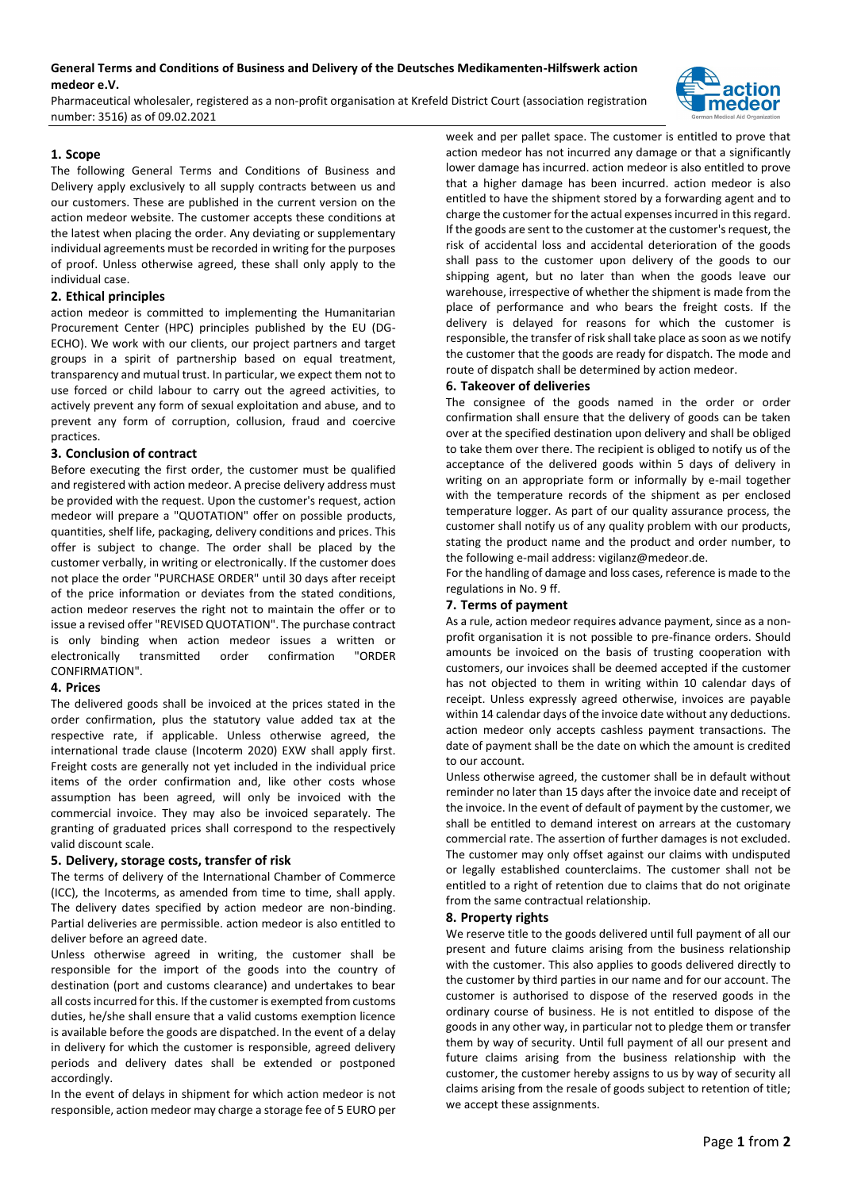# **General Terms and Conditions of Business and Delivery of the Deutsches Medikamenten-Hilfswerk action medeor e.V.**

Pharmaceutical wholesaler, registered as a non-profit organisation at Krefeld District Court (association registration number: 3516) as of 09.02.2021



### **1. Scope**

The following General Terms and Conditions of Business and Delivery apply exclusively to all supply contracts between us and our customers. These are published in the current version on the action medeor website. The customer accepts these conditions at the latest when placing the order. Any deviating or supplementary individual agreements must be recorded in writing for the purposes of proof. Unless otherwise agreed, these shall only apply to the individual case.

### **2. Ethical principles**

action medeor is committed to implementing the Humanitarian Procurement Center (HPC) principles published by the EU (DG-ECHO). We work with our clients, our project partners and target groups in a spirit of partnership based on equal treatment, transparency and mutual trust. In particular, we expect them not to use forced or child labour to carry out the agreed activities, to actively prevent any form of sexual exploitation and abuse, and to prevent any form of corruption, collusion, fraud and coercive practices.

### **3. Conclusion of contract**

Before executing the first order, the customer must be qualified and registered with action medeor. A precise delivery address must be provided with the request. Upon the customer's request, action medeor will prepare a "QUOTATION" offer on possible products, quantities, shelf life, packaging, delivery conditions and prices. This offer is subject to change. The order shall be placed by the customer verbally, in writing or electronically. If the customer does not place the order "PURCHASE ORDER" until 30 days after receipt of the price information or deviates from the stated conditions, action medeor reserves the right not to maintain the offer or to issue a revised offer "REVISED QUOTATION". The purchase contract is only binding when action medeor issues a written or electronically transmitted order confirmation "ORDER CONFIRMATION".

### **4. Prices**

The delivered goods shall be invoiced at the prices stated in the order confirmation, plus the statutory value added tax at the respective rate, if applicable. Unless otherwise agreed, the international trade clause (Incoterm 2020) EXW shall apply first. Freight costs are generally not yet included in the individual price items of the order confirmation and, like other costs whose assumption has been agreed, will only be invoiced with the commercial invoice. They may also be invoiced separately. The granting of graduated prices shall correspond to the respectively valid discount scale.

### **5. Delivery, storage costs, transfer of risk**

The terms of delivery of the International Chamber of Commerce (ICC), the Incoterms, as amended from time to time, shall apply. The delivery dates specified by action medeor are non-binding. Partial deliveries are permissible. action medeor is also entitled to deliver before an agreed date.

Unless otherwise agreed in writing, the customer shall be responsible for the import of the goods into the country of destination (port and customs clearance) and undertakes to bear all costs incurred for this. If the customer is exempted from customs duties, he/she shall ensure that a valid customs exemption licence is available before the goods are dispatched. In the event of a delay in delivery for which the customer is responsible, agreed delivery periods and delivery dates shall be extended or postponed accordingly.

In the event of delays in shipment for which action medeor is not responsible, action medeor may charge a storage fee of 5 EURO per week and per pallet space. The customer is entitled to prove that action medeor has not incurred any damage or that a significantly lower damage has incurred. action medeor is also entitled to prove that a higher damage has been incurred. action medeor is also entitled to have the shipment stored by a forwarding agent and to charge the customer for the actual expenses incurred in this regard. If the goods are sent to the customer at the customer's request, the risk of accidental loss and accidental deterioration of the goods shall pass to the customer upon delivery of the goods to our shipping agent, but no later than when the goods leave our warehouse, irrespective of whether the shipment is made from the place of performance and who bears the freight costs. If the delivery is delayed for reasons for which the customer is responsible, the transfer of risk shall take place as soon as we notify the customer that the goods are ready for dispatch. The mode and route of dispatch shall be determined by action medeor.

### **6. Takeover of deliveries**

The consignee of the goods named in the order or order confirmation shall ensure that the delivery of goods can be taken over at the specified destination upon delivery and shall be obliged to take them over there. The recipient is obliged to notify us of the acceptance of the delivered goods within 5 days of delivery in writing on an appropriate form or informally by e-mail together with the temperature records of the shipment as per enclosed temperature logger. As part of our quality assurance process, the customer shall notify us of any quality problem with our products, stating the product name and the product and order number, to the following e-mail address: vigilanz@medeor.de.

For the handling of damage and loss cases, reference is made to the regulations in No. 9 ff.

### **7. Terms of payment**

As a rule, action medeor requires advance payment, since as a nonprofit organisation it is not possible to pre-finance orders. Should amounts be invoiced on the basis of trusting cooperation with customers, our invoices shall be deemed accepted if the customer has not objected to them in writing within 10 calendar days of receipt. Unless expressly agreed otherwise, invoices are payable within 14 calendar days of the invoice date without any deductions. action medeor only accepts cashless payment transactions. The date of payment shall be the date on which the amount is credited to our account.

Unless otherwise agreed, the customer shall be in default without reminder no later than 15 days after the invoice date and receipt of the invoice. In the event of default of payment by the customer, we shall be entitled to demand interest on arrears at the customary commercial rate. The assertion of further damages is not excluded. The customer may only offset against our claims with undisputed or legally established counterclaims. The customer shall not be entitled to a right of retention due to claims that do not originate from the same contractual relationship.

#### **8. Property rights**

We reserve title to the goods delivered until full payment of all our present and future claims arising from the business relationship with the customer. This also applies to goods delivered directly to the customer by third parties in our name and for our account. The customer is authorised to dispose of the reserved goods in the ordinary course of business. He is not entitled to dispose of the goods in any other way, in particular not to pledge them or transfer them by way of security. Until full payment of all our present and future claims arising from the business relationship with the customer, the customer hereby assigns to us by way of security all claims arising from the resale of goods subject to retention of title; we accept these assignments.